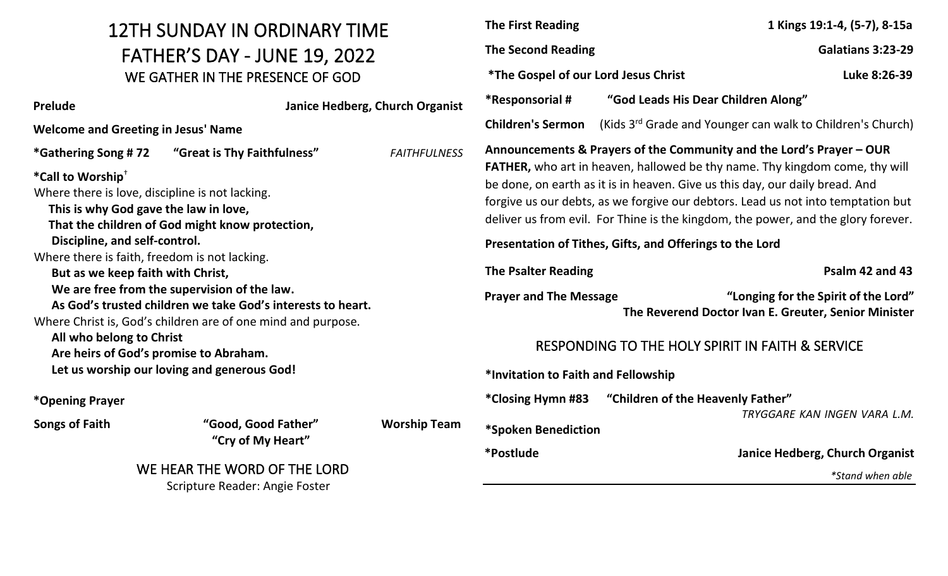## 12TH SUNDAY IN ORDINARY TIME FATHER'S DAY - JUNE 19, 2022 WE GATHER IN THE PRESENCE OF GOD

| <b>Prelude</b>                                                                                                                                                                                                                                                                                                                                                                                                                                                                                                                                                                                          |                                          | Janice Hedberg, Church Organist |  |
|---------------------------------------------------------------------------------------------------------------------------------------------------------------------------------------------------------------------------------------------------------------------------------------------------------------------------------------------------------------------------------------------------------------------------------------------------------------------------------------------------------------------------------------------------------------------------------------------------------|------------------------------------------|---------------------------------|--|
| <b>Welcome and Greeting in Jesus' Name</b>                                                                                                                                                                                                                                                                                                                                                                                                                                                                                                                                                              |                                          |                                 |  |
|                                                                                                                                                                                                                                                                                                                                                                                                                                                                                                                                                                                                         |                                          | <b>FAITHFULNESS</b>             |  |
| *Call to Worship <sup>+</sup><br>Where there is love, discipline is not lacking.<br>This is why God gave the law in love,<br>That the children of God might know protection,<br>Discipline, and self-control.<br>Where there is faith, freedom is not lacking.<br>But as we keep faith with Christ,<br>We are free from the supervision of the law.<br>As God's trusted children we take God's interests to heart.<br>Where Christ is, God's children are of one mind and purpose.<br>All who belong to Christ<br>Are heirs of God's promise to Abraham.<br>Let us worship our loving and generous God! |                                          |                                 |  |
| *Opening Prayer                                                                                                                                                                                                                                                                                                                                                                                                                                                                                                                                                                                         |                                          |                                 |  |
| <b>Songs of Faith</b>                                                                                                                                                                                                                                                                                                                                                                                                                                                                                                                                                                                   | "Good, Good Father"<br>"Cry of My Heart" | <b>Worship Team</b>             |  |

## WE HEAR THE WORD OF THE LORD Scripture Reader: Angie Foster

| <b>The First Reading</b>                                                                                                                                                                                                                                                                                                                                                                                            | 1 Kings 19:1-4, (5-7), 8-15a                                                                 |  |  |
|---------------------------------------------------------------------------------------------------------------------------------------------------------------------------------------------------------------------------------------------------------------------------------------------------------------------------------------------------------------------------------------------------------------------|----------------------------------------------------------------------------------------------|--|--|
| <b>The Second Reading</b>                                                                                                                                                                                                                                                                                                                                                                                           | Galatians 3:23-29                                                                            |  |  |
| <i><b>*The Gospel of our Lord Jesus Christ</b></i>                                                                                                                                                                                                                                                                                                                                                                  | Luke 8:26-39                                                                                 |  |  |
| *Responsorial #                                                                                                                                                                                                                                                                                                                                                                                                     | "God Leads His Dear Children Along"                                                          |  |  |
| <b>Children's Sermon</b>                                                                                                                                                                                                                                                                                                                                                                                            | (Kids 3 <sup>rd</sup> Grade and Younger can walk to Children's Church)                       |  |  |
| Announcements & Prayers of the Community and the Lord's Prayer - OUR<br><b>FATHER,</b> who art in heaven, hallowed be thy name. Thy kingdom come, thy will<br>be done, on earth as it is in heaven. Give us this day, our daily bread. And<br>forgive us our debts, as we forgive our debtors. Lead us not into temptation but<br>deliver us from evil. For Thine is the kingdom, the power, and the glory forever. |                                                                                              |  |  |
| Presentation of Tithes, Gifts, and Offerings to the Lord                                                                                                                                                                                                                                                                                                                                                            |                                                                                              |  |  |
| <b>The Psalter Reading</b>                                                                                                                                                                                                                                                                                                                                                                                          | Psalm 42 and 43                                                                              |  |  |
| <b>Prayer and The Message</b>                                                                                                                                                                                                                                                                                                                                                                                       | "Longing for the Spirit of the Lord"<br>The Reverend Doctor Ivan E. Greuter, Senior Minister |  |  |
| RESPONDING TO THE HOLY SPIRIT IN FAITH & SERVICE                                                                                                                                                                                                                                                                                                                                                                    |                                                                                              |  |  |
| *Invitation to Faith and Fellowship                                                                                                                                                                                                                                                                                                                                                                                 |                                                                                              |  |  |
| "Children of the Heavenly Father"<br>*Closing Hymn #83<br>TRYGGARE KAN INGEN VARA L.M.<br>*Spoken Benediction                                                                                                                                                                                                                                                                                                       |                                                                                              |  |  |
| *Postlude                                                                                                                                                                                                                                                                                                                                                                                                           | Janice Hedberg, Church Organist                                                              |  |  |
|                                                                                                                                                                                                                                                                                                                                                                                                                     | *Stand when able                                                                             |  |  |